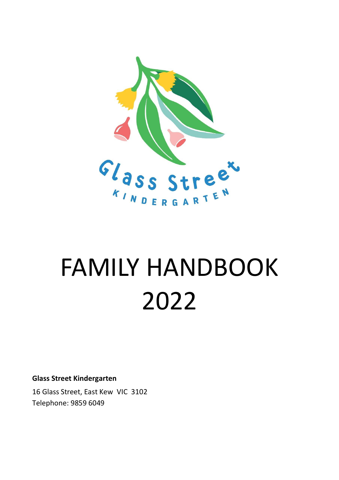

# FAMILY HANDBOOK 2022

**Glass Street Kindergarten**

16 Glass Street, East Kew VIC 3102 Telephone: 9859 6049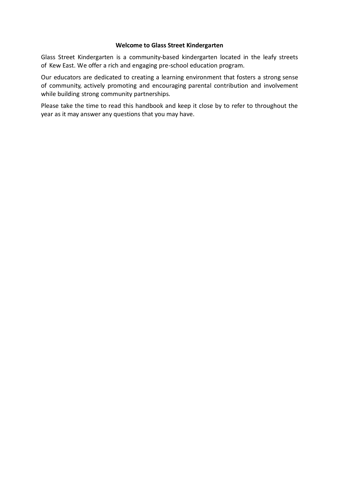#### **Welcome to Glass Street Kindergarten**

Glass Street Kindergarten is a community-based kindergarten located in the leafy streets of Kew East. We offer a rich and engaging pre-school education program.

Our educators are dedicated to creating a learning environment that fosters a strong sense of community, actively promoting and encouraging parental contribution and involvement while building strong community partnerships.

Please take the time to read this handbook and keep it close by to refer to throughout the year as it may answer any questions that you may have.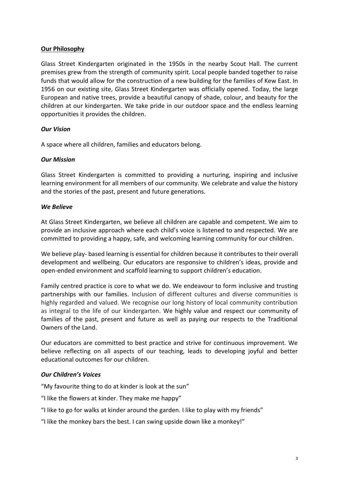## **Our Philosophy**

Glass Street Kindergarten originated in the 1950s in the nearby Scout Hall. The current premises grew from the strength of community spirit. Local people banded together to raise funds that would allow for the construction of a new building for the families of Kew East. In 1956 on our existing site, Glass Street Kindergarten was officially opened. Today, the large European and native trees, provide a beautiful canopy of shade, colour, and beauty for the children at our kindergarten. We take pride in our outdoor space and the endless learning opportunities it provides the children.

## *Our Vision*

A space where all children, families and educators belong.

#### *Our Mission*

Glass Street Kindergarten is committed to providing a nurturing, inspiring and inclusive learning environment for all members of our community. We celebrate and value the history and the stories of the past, present and future generations.

## *We Believe*

At Glass Street Kindergarten, we believe all children are capable and competent. We aim to provide an inclusive approach where each child's voice is listened to and respected. We are committed to providing a happy, safe, and welcoming learning community for our children.

We believe play- based learning is essential for children because it contributes to their overall development and wellbeing. Our educators are responsive to children's ideas, provide and open-ended environment and scaffold learning to support children's education.

Family centred practice is core to what we do. We endeavour to form inclusive and trusting partnerships with our families. Inclusion of different cultures and diverse communities is highly regarded and valued. We recognise our long history of local community contribution as integral to the life of our kindergarten. We highly value and respect our community of families of the past, present and future as well as paying our respects to the Traditional Owners of the Land.

Our educators are committed to best practice and strive for continuous improvement. We believe reflecting on all aspects of our teaching, leads to developing joyful and better educational outcomes for our children.

## *Our Children's Voices*

"My favourite thing to do at kinder is look at the sun"

"I like the flowers at kinder. They make me happy"

- "I like to go for walks at kinder around the garden. I like to play with my friends"
- "I like the monkey bars the best. I can swing upside down like a monkey!"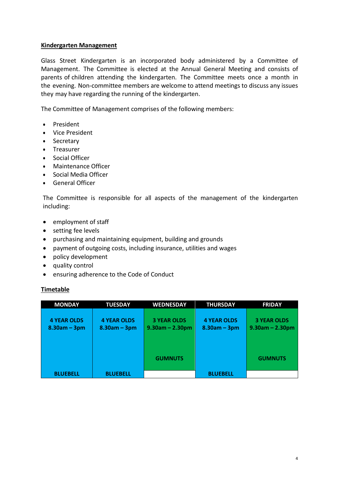## **Kindergarten Management**

Glass Street Kindergarten is an incorporated body administered by a Committee of Management. The Committee is elected at the Annual General Meeting and consists of parents of children attending the kindergarten. The Committee meets once a month in the evening. Non-committee members are welcome to attend meetings to discuss any issues they may have regarding the running of the kindergarten.

The Committee of Management comprises of the following members:

- President
- Vice President
- Secretary
- Treasurer
- Social Officer
- Maintenance Officer
- Social Media Officer
- General Officer

The Committee is responsible for all aspects of the management of the kindergarten including:

- employment of staff
- setting fee levels
- purchasing and maintaining equipment, building and grounds
- payment of outgoing costs, including insurance, utilities and wages
- policy development
- quality control
- ensuring adherence to the Code of Conduct

#### **Timetable**

| <b>MONDAY</b>      | <b>TUESDAY</b>     | <b>WEDNESDAY</b>   | <b>THURSDAY</b>    | <b>FRIDAY</b>      |
|--------------------|--------------------|--------------------|--------------------|--------------------|
|                    |                    |                    |                    |                    |
| <b>4 YEAR OLDS</b> | <b>4 YEAR OLDS</b> | <b>3 YEAR OLDS</b> | <b>4 YEAR OLDS</b> | <b>3 YEAR OLDS</b> |
| $8.30am - 3pm$     | $8.30am - 3pm$     | $9.30$ am - 2.30pm | $8.30am - 3pm$     | $9.30$ am - 2.30pm |
|                    |                    |                    |                    |                    |
|                    |                    |                    |                    |                    |
|                    |                    |                    |                    |                    |
|                    |                    | <b>GUMNUTS</b>     |                    | <b>GUMNUTS</b>     |
|                    |                    |                    |                    |                    |
|                    |                    |                    |                    |                    |
| <b>BLUEBELL</b>    | <b>BLUEBELL</b>    |                    | <b>BLUEBELL</b>    |                    |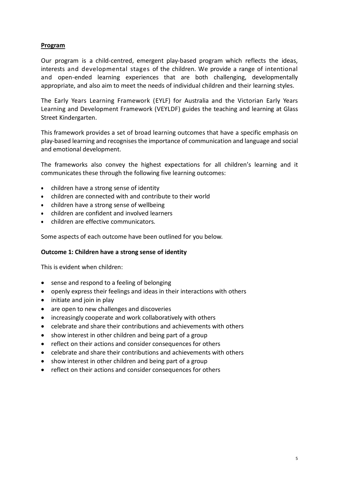## **Program**

Our program is a child-centred, emergent play-based program which reflects the ideas, interests and developmental stages of the children. We provide a range of intentional and open-ended learning experiences that are both challenging, developmentally appropriate, and also aim to meet the needs of individual children and their learning styles.

The Early Years Learning Framework (EYLF) for Australia and the Victorian Early Years Learning and Development Framework (VEYLDF) guides the teaching and learning at Glass Street Kindergarten.

This framework provides a set of broad learning outcomes that have a specific emphasis on play-based learning and recognisesthe importance of communication and language and social and emotional development.

The frameworks also convey the highest expectations for all children's learning and it communicates these through the following five learning outcomes:

- children have a strong sense of identity
- children are connected with and contribute to their world
- children have a strong sense of wellbeing
- children are confident and involved learners
- children are effective communicators.

Some aspects of each outcome have been outlined for you below.

#### **Outcome 1: Children have a strong sense of identity**

This is evident when children:

- sense and respond to a feeling of belonging
- openly express their feelings and ideas in their interactions with others
- initiate and join in play
- are open to new challenges and discoveries
- increasingly cooperate and work collaboratively with others
- celebrate and share their contributions and achievements with others
- show interest in other children and being part of a group
- reflect on their actions and consider consequences for others
- celebrate and share their contributions and achievements with others
- show interest in other children and being part of a group
- reflect on their actions and consider consequences for others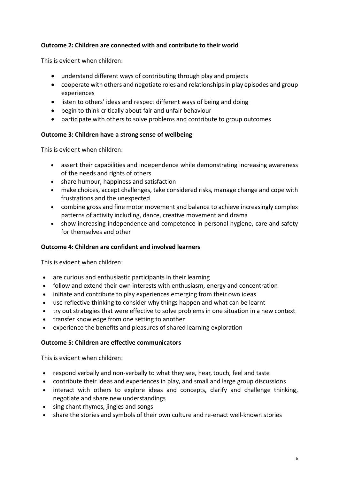## **Outcome 2: Children are connected with and contribute to their world**

This is evident when children:

- understand different ways of contributing through play and projects
- cooperate with others and negotiate roles and relationships in play episodes and group experiences
- listen to others' ideas and respect different ways of being and doing
- begin to think critically about fair and unfair behaviour
- participate with others to solve problems and contribute to group outcomes

## **Outcome 3: Children have a strong sense of wellbeing**

This is evident when children:

- assert their capabilities and independence while demonstrating increasing awareness of the needs and rights of others
- share humour, happiness and satisfaction
- make choices, accept challenges, take considered risks, manage change and cope with frustrations and the unexpected
- combine gross and fine motor movement and balance to achieve increasingly complex patterns of activity including, dance, creative movement and drama
- show increasing independence and competence in personal hygiene, care and safety for themselves and other

#### **Outcome 4: Children are confident and involved learners**

This is evident when children:

- are curious and enthusiastic participants in their learning
- follow and extend their own interests with enthusiasm, energy and concentration
- initiate and contribute to play experiences emerging from their own ideas
- use reflective thinking to consider why things happen and what can be learnt
- try out strategies that were effective to solve problems in one situation in a new context
- transfer knowledge from one setting to another
- experience the benefits and pleasures of shared learning exploration

#### **Outcome 5: Children are effective communicators**

This is evident when children:

- respond verbally and non-verbally to what they see, hear, touch, feel and taste
- contribute their ideas and experiences in play, and small and large group discussions
- interact with others to explore ideas and concepts, clarify and challenge thinking, negotiate and share new understandings
- sing chant rhymes, jingles and songs
- share the stories and symbols of their own culture and re-enact well-known stories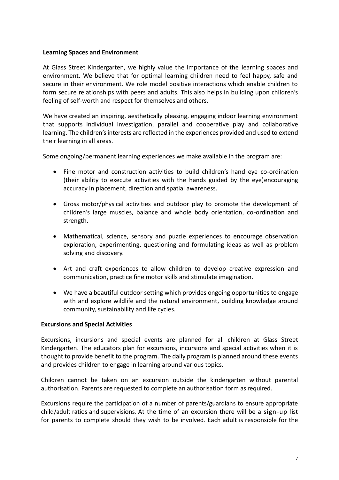## **Learning Spaces and Environment**

At Glass Street Kindergarten, we highly value the importance of the learning spaces and environment. We believe that for optimal learning children need to feel happy, safe and secure in their environment. We role model positive interactions which enable children to form secure relationships with peers and adults. This also helps in building upon children's feeling of self-worth and respect for themselves and others.

We have created an inspiring, aesthetically pleasing, engaging indoor learning environment that supports individual investigation, parallel and cooperative play and collaborative learning. The children's interests are reflected in the experiences provided and used to extend their learning in all areas.

Some ongoing/permanent learning experiences we make available in the program are:

- Fine motor and construction activities to build children's hand eye co-ordination (their ability to execute activities with the hands guided by the eye)encouraging accuracy in placement, direction and spatial awareness.
- Gross motor/physical activities and outdoor play to promote the development of children's large muscles, balance and whole body orientation, co-ordination and strength.
- Mathematical, science, sensory and puzzle experiences to encourage observation exploration, experimenting, questioning and formulating ideas as well as problem solving and discovery.
- Art and craft experiences to allow children to develop creative expression and communication, practice fine motor skills and stimulate imagination.
- We have a beautiful outdoor setting which provides ongoing opportunities to engage with and explore wildlife and the natural environment, building knowledge around community, sustainability and life cycles.

#### **Excursions and Special Activities**

Excursions, incursions and special events are planned for all children at Glass Street Kindergarten. The educators plan for excursions, incursions and special activities when it is thought to provide benefit to the program. The daily program is planned around these events and provides children to engage in learning around various topics.

Children cannot be taken on an excursion outside the kindergarten without parental authorisation. Parents are requested to complete an authorisation form as required.

Excursions require the participation of a number of parents/guardians to ensure appropriate child/adult ratios and supervisions. At the time of an excursion there will be a sign-up list for parents to complete should they wish to be involved. Each adult is responsible for the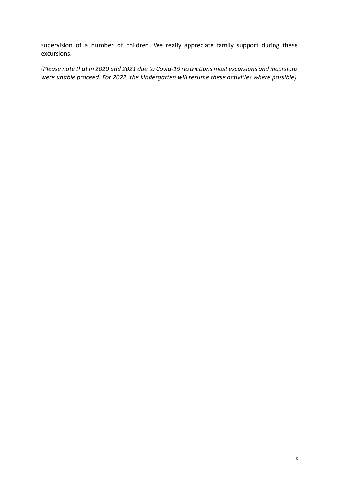supervision of a number of children. We really appreciate family support during these excursions.

(*Please note that in 2020 and 2021 due to Covid-19 restrictions most excursions and incursions were unable proceed. For 2022, the kindergarten will resume these activities where possible)*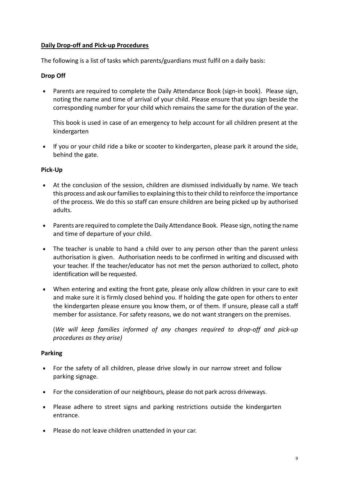## **Daily Drop-off and Pick-up Procedures**

The following is a list of tasks which parents/guardians must fulfil on a daily basis:

## **Drop Off**

• Parents are required to complete the Daily Attendance Book (sign-in book). Please sign, noting the name and time of arrival of your child. Please ensure that you sign beside the corresponding number for your child which remains the same for the duration of the year.

This book is used in case of an emergency to help account for all children present at the kindergarten

• If you or your child ride a bike or scooter to kindergarten, please park it around the side, behind the gate.

## **Pick-Up**

- At the conclusion of the session, children are dismissed individually by name. We teach this process and ask our families to explaining thisto their child to reinforce the importance of the process. We do this so staff can ensure children are being picked up by authorised adults.
- Parents are required to complete the Daily Attendance Book. Please sign, noting the name and time of departure of your child.
- The teacher is unable to hand a child over to any person other than the parent unless authorisation is given. Authorisation needs to be confirmed in writing and discussed with your teacher. If the teacher/educator has not met the person authorized to collect, photo identification will be requested.
- When entering and exiting the front gate, please only allow children in your care to exit and make sure it is firmly closed behind you. If holding the gate open for others to enter the kindergarten please ensure you know them, or of them. If unsure, please call a staff member for assistance. For safety reasons, we do not want strangers on the premises.

(*We will keep families informed of any changes required to drop-off and pick-up procedures as they arise)*

#### **Parking**

- For the safety of all children, please drive slowly in our narrow street and follow parking signage.
- For the consideration of our neighbours, please do not park across driveways.
- Please adhere to street signs and parking restrictions outside the kindergarten entrance.
- Please do not leave children unattended in your car.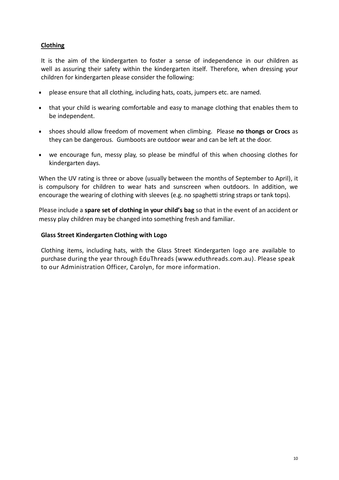## **Clothing**

It is the aim of the kindergarten to foster a sense of independence in our children as well as assuring their safety within the kindergarten itself. Therefore, when dressing your children for kindergarten please consider the following:

- please ensure that all clothing, including hats, coats, jumpers etc. are named.
- that your child is wearing comfortable and easy to manage clothing that enables them to be independent.
- shoes should allow freedom of movement when climbing. Please **no thongs or Crocs** as they can be dangerous. Gumboots are outdoor wear and can be left at the door.
- we encourage fun, messy play, so please be mindful of this when choosing clothes for kindergarten days.

When the UV rating is three or above (usually between the months of September to April), it is compulsory for children to wear hats and sunscreen when outdoors. In addition, we encourage the wearing of clothing with sleeves (e.g. no spaghetti string straps or tank tops).

Please include a **spare set of clothing in your child's bag** so that in the event of an accident or messy play children may be changed into something fresh and familiar.

#### **Glass Street Kindergarten Clothing with Logo**

Clothing items, including hats, with the Glass Street Kindergarten logo are available to purchase during the year through EduThreads (www.eduthreads.com.au). Please speak to our Administration Officer, Carolyn, for more information.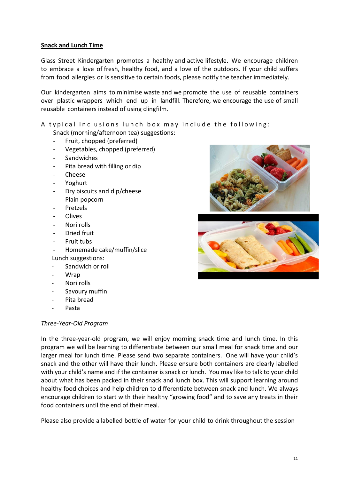## **Snack and Lunch Time**

Glass Street Kindergarten promotes a healthy and active lifestyle. We encourage children to embrace a love of fresh, healthy food, and a love of the outdoors. If your child suffers from food allergies or is sensitive to certain foods, please notify the teacher immediately.

Our kindergarten aims to minimise waste and we promote the use of reusable containers over plastic wrappers which end up in landfill. Therefore, we encourage the use of small reusable containers instead of using clingfilm.

A typical inclusions lunch box may include the following:

Snack (morning/afternoon tea) suggestions:

- Fruit, chopped (preferred)
- Vegetables, chopped (preferred)
- **Sandwiches**
- Pita bread with filling or dip
- Cheese
- Yoghurt
- Dry biscuits and dip/cheese
- Plain popcorn
- Pretzels
- Olives
- Nori rolls
- Dried fruit
- Fruit tubs
- Homemade cake/muffin/slice Lunch suggestions:
- Sandwich or roll
- Wrap
- Nori rolls
- Savoury muffin
- Pita bread
- Pasta

#### *Three-Year-Old Program*

In the three-year-old program, we will enjoy morning snack time and lunch time. In this program we will be learning to differentiate between our small meal for snack time and our larger meal for lunch time. Please send two separate containers. One will have your child's snack and the other will have their lunch. Please ensure both containers are clearly labelled with your child's name and if the container is snack or lunch. You may like to talk to your child about what has been packed in their snack and lunch box. This will support learning around healthy food choices and help children to differentiate between snack and lunch. We always encourage children to start with their healthy "growing food" and to save any treats in their food containers until the end of their meal.

Please also provide a labelled bottle of water for your child to drink throughout the session



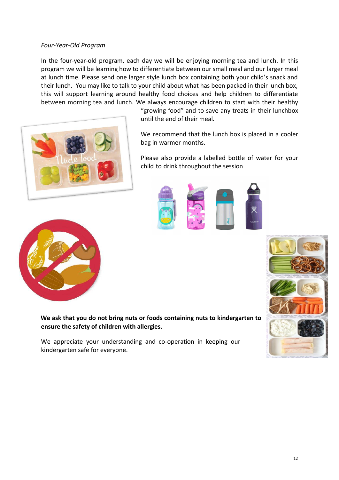#### *Four-Year-Old Program*

In the four-year-old program, each day we will be enjoying morning tea and lunch. In this program we will be learning how to differentiate between our small meal and our larger meal at lunch time. Please send one larger style lunch box containing both your child's snack and their lunch. You may like to talk to your child about what has been packed in their lunch box, this will support learning around healthy food choices and help children to differentiate between morning tea and lunch. We always encourage children to start with their healthy



"growing food" and to save any treats in their lunchbox until the end of their meal.

We recommend that the lunch box is placed in a cooler bag in warmer months.

Please also provide a labelled bottle of water for your child to drink throughout the session









**We ask that you do not bring nuts or foods containing nuts to kindergarten to ensure the safety of children with allergies.**

We appreciate your understanding and co-operation in keeping our kindergarten safe for everyone.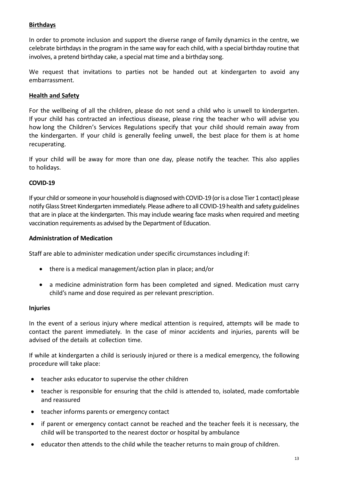## **Birthdays**

In order to promote inclusion and support the diverse range of family dynamics in the centre, we celebrate birthdays in the program in the same way for each child, with a special birthday routine that involves, a pretend birthday cake, a special mat time and a birthday song.

We request that invitations to parties not be handed out at kindergarten to avoid any embarrassment.

## **Health and Safety**

For the wellbeing of all the children, please do not send a child who is unwell to kindergarten. If your child has contracted an infectious disease, please ring the teacher who will advise you how long the Children's Services Regulations specify that your child should remain away from the kindergarten. If your child is generally feeling unwell, the best place for them is at home recuperating.

If your child will be away for more than one day, please notify the teacher. This also applies to holidays.

#### **COVID-19**

If your child or someone in your household is diagnosed with COVID-19 (or is a close Tier 1 contact) please notify Glass Street Kindergarten immediately. Please adhere to all COVID-19 health and safety guidelines that are in place at the kindergarten. This may include wearing face masks when required and meeting vaccination requirements as advised by the Department of Education.

#### **Administration of Medication**

Staff are able to administer medication under specific circumstances including if:

- there is a medical management/action plan in place; and/or
- a medicine administration form has been completed and signed. Medication must carry child's name and dose required as per relevant prescription.

#### **Injuries**

In the event of a serious injury where medical attention is required, attempts will be made to contact the parent immediately. In the case of minor accidents and injuries, parents will be advised of the details at collection time.

If while at kindergarten a child is seriously injured or there is a medical emergency, the following procedure will take place:

- teacher asks educator to supervise the other children
- teacher is responsible for ensuring that the child is attended to, isolated, made comfortable and reassured
- teacher informs parents or emergency contact
- if parent or emergency contact cannot be reached and the teacher feels it is necessary, the child will be transported to the nearest doctor or hospital by ambulance
- educator then attends to the child while the teacher returns to main group of children.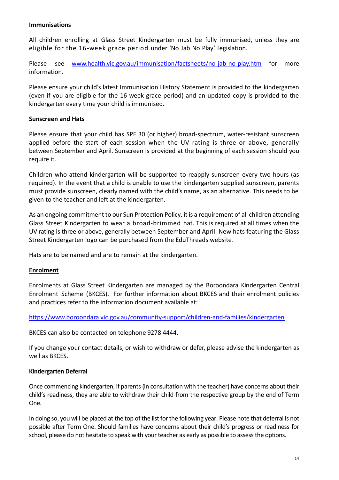#### **Immunisations**

All children enrolling at Glass Street Kindergarten must be fully immunised, unless they are eligible for the 16-week grace period under 'No Jab No Play' legislation.

Please see [www.health.vic.gov.au/immunisation/factsheets/no-jab-no-play.htm](http://www.health.vic.gov.au/immunisation/factsheets/no-jab-no-play.htm) for more information.

Please ensure your child's latest Immunisation History Statement is provided to the kindergarten (even if you are eligible for the 16-week grace period) and an updated copy is provided to the kindergarten every time your child is immunised.

#### **Sunscreen and Hats**

Please ensure that your child has SPF 30 (or higher) broad-spectrum, water-resistant sunscreen applied before the start of each session when the UV rating is three or above, generally between September and April. Sunscreen is provided at the beginning of each session should you require it.

Children who attend kindergarten will be supported to reapply sunscreen every two hours (as required). In the event that a child is unable to use the kindergarten supplied sunscreen, parents must provide sunscreen, clearly named with the child's name, as an alternative. This needs to be given to the teacher and left at the kindergarten.

As an ongoing commitment to our Sun Protection Policy, it is a requirement of all children attending Glass Street Kindergarten to wear a broad-brimmed hat. This is required at all times when the UV rating is three or above, generally between September and April. New hats featuring the Glass Street Kindergarten logo can be purchased from the EduThreads website.

Hats are to be named and are to remain at the kindergarten.

#### **Enrolment**

Enrolments at Glass Street Kindergarten are managed by the Boroondara Kindergarten Central Enrolment Scheme (BKCES). For further information about BKCES and their enrolment policies and practices refer to the information document available at:

<https://www.boroondara.vic.gov.au/community-support/children-and-families/kindergarten>

BKCES can also be contacted on telephone 9278 4444.

If you change your contact details, or wish to withdraw or defer, please advise the kindergarten as well as BKCES.

#### **Kindergarten Deferral**

Once commencing kindergarten, if parents (in consultation with the teacher) have concerns about their child's readiness, they are able to withdraw their child from the respective group by the end of Term One.

In doing so, you will be placed at the top of the list for the following year. Please note that deferral is not possible after Term One. Should families have concerns about their child's progress or readiness for school, please do not hesitate to speak with your teacher as early as possible to assess the options.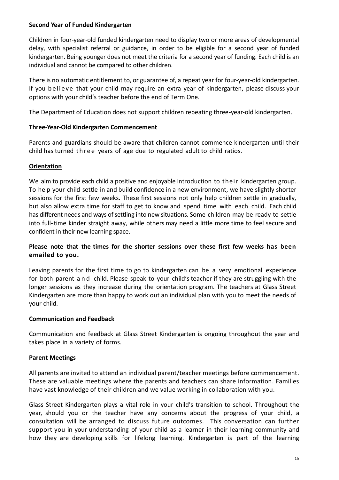#### **Second Year of Funded Kindergarten**

Children in four-year-old funded kindergarten need to display two or more areas of developmental delay, with specialist referral or guidance, in order to be eligible for a second year of funded kindergarten. Being younger does not meet the criteria for a second year of funding. Each child is an individual and cannot be compared to other children.

There is no automatic entitlement to, or guarantee of, a repeat year for four-year-old kindergarten. If you be lieve that your child may require an extra year of kindergarten, please discuss your options with your child's teacher before the end of Term One.

The Department of Education does not support children repeating three-year-old kindergarten.

## **Three-Year-Old Kindergarten Commencement**

Parents and guardians should be aware that children cannot commence kindergarten until their child has turned three years of age due to regulated adult to child ratios.

## **Orientation**

We aim to provide each child a positive and enjoyable introduction to their kindergarten group. To help your child settle in and build confidence in a new environment, we have slightly shorter sessions for the first few weeks. These first sessions not only help children settle in gradually, but also allow extra time for staff to get to know and spend time with each child. Each child has different needs and ways of settling into new situations. Some children may be ready to settle into full-time kinder straight away, while others may need a little more time to feel secure and confident in their new learning space.

## **Please note that the times for the shorter sessions over these first few weeks has been emailed to you.**

Leaving parents for the first time to go to kindergarten can be a very emotional experience for both parent and child. Please speak to your child's teacher if they are struggling with the longer sessions as they increase during the orientation program. The teachers at Glass Street Kindergarten are more than happy to work out an individual plan with you to meet the needs of your child.

## **Communication and Feedback**

Communication and feedback at Glass Street Kindergarten is ongoing throughout the year and takes place in a variety of forms.

## **Parent Meetings**

All parents are invited to attend an individual parent/teacher meetings before commencement. These are valuable meetings where the parents and teachers can share information. Families have vast knowledge of their children and we value working in collaboration with you.

Glass Street Kindergarten plays a vital role in your child's transition to school. Throughout the year, should you or the teacher have any concerns about the progress of your child, a consultation will be arranged to discuss future outcomes. This conversation can further support you in your understanding of your child as a learner in their learning community and how they are developing skills for lifelong learning. Kindergarten is part of the learning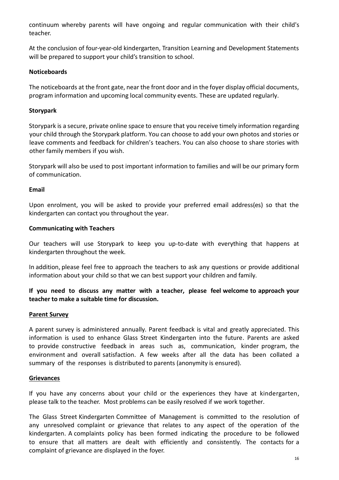continuum whereby parents will have ongoing and regular communication with their child's teacher.

At the conclusion of four-year-old kindergarten, Transition Learning and Development Statements will be prepared to support your child's transition to school.

## **Noticeboards**

The noticeboards at the front gate, near the front door and in the foyer display official documents, program information and upcoming local community events. These are updated regularly.

## **Storypark**

Storypark is a secure, private online space to ensure that you receive timely information regarding your child through the Storypark platform. You can choose to add your own photos and stories or leave comments and feedback for children's teachers. You can also choose to share stories with other family members if you wish.

Storypark will also be used to post important information to families and will be our primary form of communication.

## **Email**

Upon enrolment, you will be asked to provide your preferred email address(es) so that the kindergarten can contact you throughout the year.

## **Communicating with Teachers**

Our teachers will use Storypark to keep you up-to-date with everything that happens at kindergarten throughout the week.

In addition, please feel free to approach the teachers to ask any questions or provide additional information about your child so that we can best support your children and family.

**If you need to discuss any matter with a teacher, please feel welcome to approach your teacher to make a suitable time for discussion.**

## **Parent Survey**

A parent survey is administered annually. Parent feedback is vital and greatly appreciated. This information is used to enhance Glass Street Kindergarten into the future. Parents are asked to provide constructive feedback in areas such as, communication, kinder program, the environment and overall satisfaction. A few weeks after all the data has been collated a summary of the responses is distributed to parents (anonymity is ensured).

#### **Grievances**

If you have any concerns about your child or the experiences they have at kindergarten, please talk to the teacher. Most problems can be easily resolved if we work together.

The Glass Street Kindergarten Committee of Management is committed to the resolution of any unresolved complaint or grievance that relates to any aspect of the operation of the kindergarten. A complaints policy has been formed indicating the procedure to be followed to ensure that all matters are dealt with efficiently and consistently. The contacts for a complaint of grievance are displayed in the foyer.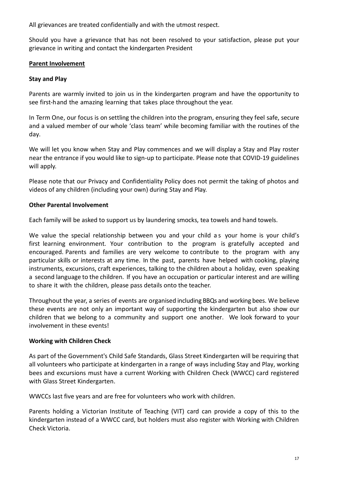All grievances are treated confidentially and with the utmost respect.

Should you have a grievance that has not been resolved to your satisfaction, please put your grievance in writing and contact the kindergarten President

## **Parent Involvement**

## **Stay and Play**

Parents are warmly invited to join us in the kindergarten program and have the opportunity to see first-hand the amazing learning that takes place throughout the year.

In Term One, our focus is on settling the children into the program, ensuring they feel safe, secure and a valued member of our whole 'class team' while becoming familiar with the routines of the day.

We will let you know when Stay and Play commences and we will display a Stay and Play roster near the entrance if you would like to sign-up to participate. Please note that COVID-19 guidelines will apply.

Please note that our Privacy and Confidentiality Policy does not permit the taking of photos and videos of any children (including your own) during Stay and Play.

## **Other Parental Involvement**

Each family will be asked to support us by laundering smocks, tea towels and hand towels.

We value the special relationship between you and your child as your home is your child's first learning environment. Your contribution to the program is gratefully accepted and encouraged. Parents and families are very welcome to contribute to the program with any particular skills or interests at any time. In the past, parents have helped with cooking, playing instruments, excursions, craft experiences, talking to the children about a holiday, even speaking a second language to the children. If you have an occupation or particular interest and are willing to share it with the children, please pass details onto the teacher.

Throughout the year, a series of events are organised including BBQs and working bees. We believe these events are not only an important way of supporting the kindergarten but also show our children that we belong to a community and support one another. We look forward to your involvement in these events!

#### **Working with Children Check**

As part of the Government's Child Safe Standards, Glass Street Kindergarten will be requiring that all volunteers who participate at kindergarten in a range of ways including Stay and Play, working bees and excursions must have a current Working with Children Check (WWCC) card registered with Glass Street Kindergarten.

WWCCs last five years and are free for volunteers who work with children.

Parents holding a Victorian Institute of Teaching (VIT) card can provide a copy of this to the kindergarten instead of a WWCC card, but holders must also register with Working with Children Check Victoria.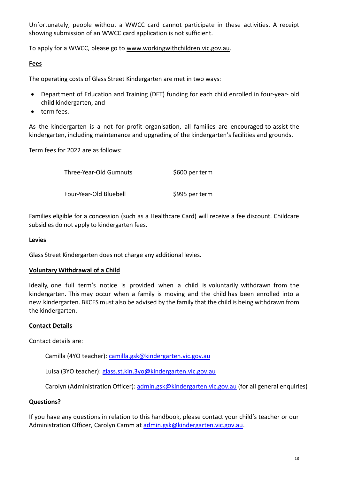Unfortunately, people without a WWCC card cannot participate in these activities. A receipt showing submission of an WWCC card application is not sufficient.

To apply for a WWCC, please go to [www.workingwithchildren.vic.gov.au.](http://www.workingwithchildren.vic.gov.au/)

## **Fees**

The operating costs of Glass Street Kindergarten are met in two ways:

- Department of Education and Training (DET) funding for each child enrolled in four-year- old child kindergarten, and
- term fees.

As the kindergarten is a not-for-profit organisation, all families are encouraged to assist the kindergarten, including maintenance and upgrading of the kindergarten's facilities and grounds.

Term fees for 2022 are as follows:

Three-Year-Old Gumnuts \$600 per term

Four-Year-Old Bluebell \$995 per term

Families eligible for a concession (such as a Healthcare Card) will receive a fee discount. Childcare subsidies do not apply to kindergarten fees.

## **Levies**

Glass Street Kindergarten does not charge any additional levies.

#### **Voluntary Withdrawal of a Child**

Ideally, one full term's notice is provided when a child is voluntarily withdrawn from the kindergarten. This may occur when a family is moving and the child has been enrolled into a new kindergarten. BKCES must also be advised by the family that the child is being withdrawn from the kindergarten.

## **Contact Details**

Contact details are:

Camilla (4YO teacher): [camilla.gsk@kindergarten.vic.gov.au](mailto:camilla.gsk@kindergarten.vic.gov.au)

Luisa (3YO teacher)[: glass.st.kin.3yo@kindergarten.vic.gov.au](mailto:glass.st.kin.3yo@kindergarten.vic.gov.au)

Carolyn (Administration Officer): [admin.gsk@kindergarten.vic.gov.au](mailto:admin.gsk@kindergarten.vic.gov.au) (for all general enquiries)

#### **Questions?**

If you have any questions in relation to this handbook, please contact your child's teacher or our Administration Officer, Carolyn Camm at [admin.gsk@kindergarten.vic.gov.au.](mailto:glassstreetkinder16@outlook.com)